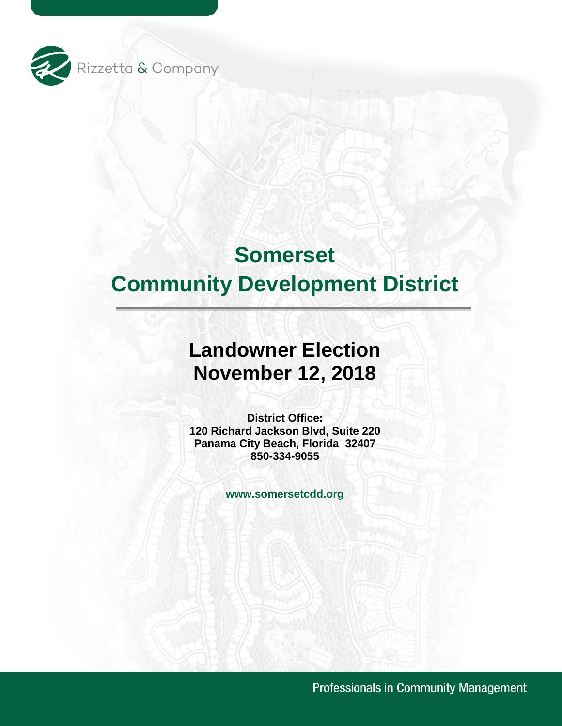

# **Somerset Community Development District**

# **Landowner Election November 12, 2018**

 **Panama City Beach, Florida 32407 District Office: 120 Richard Jackson Blvd, Suite 220 850-334-9055** 

**<www.somersetcdd.org>**

Professionals in Community Management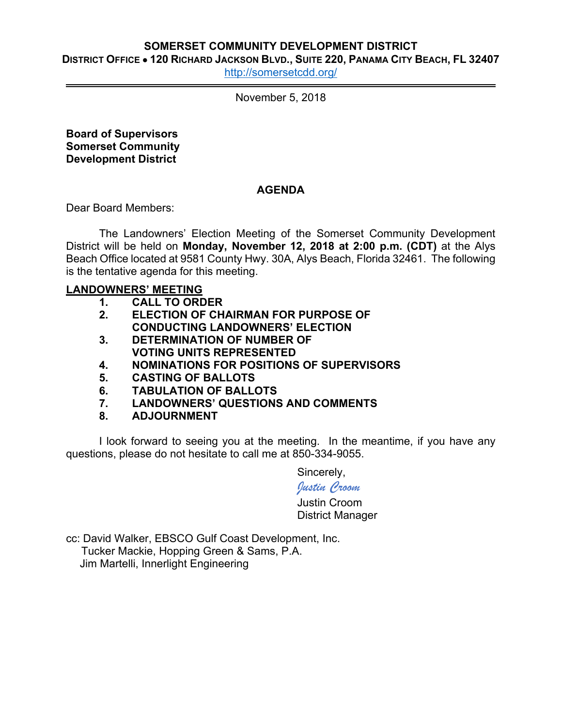# **SOMERSET COMMUNITY DEVELOPMENT DISTRICT**

 **DISTRICT OFFICE 120 RICHARD JACKSON BLVD., SUITE 220, PANAMA CITY BEACH, FL 32407** 

[http://somersetcdd.org/](http://somersetcdd.org)

November 5, 2018

**Board of Supervisors Somerset Community Development District** 

# **AGENDA**

Dear Board Members:

The Landowners' Election Meeting of the Somerset Community Development District will be held on **Monday, November 12, 2018 at 2:00 p.m. (CDT)** at the Alys Beach Office located at 9581 County Hwy. 30A, Alys Beach, Florida 32461. The following is the tentative agenda for this meeting.

# **LANDOWNERS' MEETING**

- **1. CALL TO ORDER**
- **2. ELECTION OF CHAIRMAN FOR PURPOSE OF CONDUCTING LANDOWNERS' ELECTION**
- **3. DETERMINATION OF NUMBER OF VOTING UNITS REPRESENTED**
- **4. NOMINATIONS FOR POSITIONS OF SUPERVISORS**
- **5. CASTING OF BALLOTS**
- **6. TABULATION OF BALLOTS**
- **7. LANDOWNERS' QUESTIONS AND COMMENTS**
- **8. ADJOURNMENT**

I look forward to seeing you at the meeting. In the meantime, if you have any questions, please do not hesitate to call me at 850-334-9055.

Sincerely,

# *Justin Croom*

Justin Croom District Manager

cc: David Walker, EBSCO Gulf Coast Development, Inc. Tucker Mackie, Hopping Green & Sams, P.A. Jim Martelli, Innerlight Engineering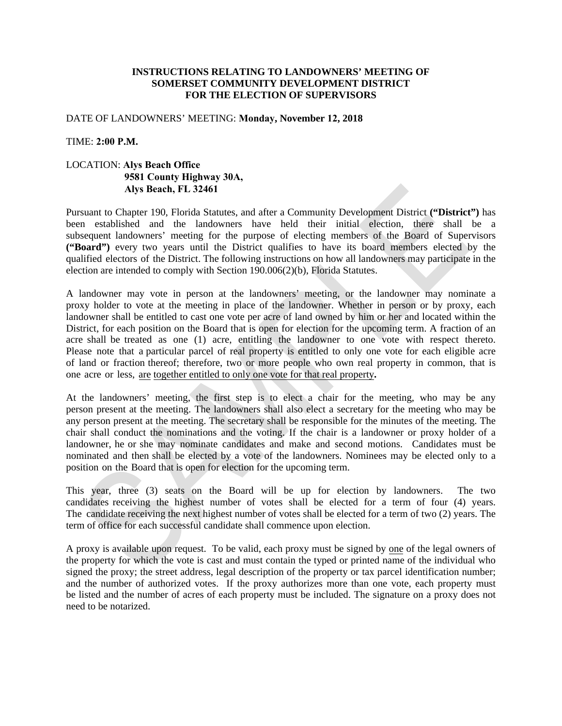# **INSTRUCTIONS RELATING TO LANDOWNERS' MEETING OF SOMERSET COMMUNITY DEVELOPMENT DISTRICT FOR THE ELECTION OF SUPERVISORS**

# DATE OF LANDOWNERS' MEETING: **Monday, November 12, 2018**

# TIME: **2:00 P.M.**

# LOCATION: **Alys Beach Office 9581 County Highway 30A, Alys Beach, FL 32461**

Pursuant to Chapter 190, Florida Statutes, and after a Community Development District **("District")** has been established and the landowners have held their initial election, there shall be a subsequent landowners' meeting for the purpose of electing members of the Board of Supervisors **("Board")** every two years until the District qualifies to have its board members elected by the qualified electors of the District. The following instructions on how all landowners may participate in the election are intended to comply with Section 190.006(2)(b), Florida Statutes.

A landowner may vote in person at the landowners' meeting, or the landowner may nominate a proxy holder to vote at the meeting in place of the landowner. Whether in person or by proxy, each landowner shall be entitled to cast one vote per acre of land owned by him or her and located within the District, for each position on the Board that is open for election for the upcoming term. A fraction of an acre shall be treated as one (1) acre, entitling the landowner to one vote with respect thereto. Please note that a particular parcel of real property is entitled to only one vote for each eligible acre of land or fraction thereof; therefore, two or more people who own real property in common, that is one acre or less, are together entitled to only one vote for that real property**.** 

At the landowners' meeting, the first step is to elect a chair for the meeting, who may be any person present at the meeting. The landowners shall also elect a secretary for the meeting who may be any person present at the meeting. The secretary shall be responsible for the minutes of the meeting. The chair shall conduct the nominations and the voting. If the chair is a landowner or proxy holder of a landowner, he or she may nominate candidates and make and second motions. Candidates must be nominated and then shall be elected by a vote of the landowners. Nominees may be elected only to a position on the Board that is open for election for the upcoming term.

This year, three (3) seats on the Board will be up for election by landowners. The two candidates receiving the highest number of votes shall be elected for a term of four (4) years. The candidate receiving the next highest number of votes shall be elected for a term of two (2) years. The term of office for each successful candidate shall commence upon election.

A proxy is available upon request. To be valid, each proxy must be signed by one of the legal owners of the property for which the vote is cast and must contain the typed or printed name of the individual who signed the proxy; the street address, legal description of the property or tax parcel identification number; and the number of authorized votes. If the proxy authorizes more than one vote, each property must be listed and the number of acres of each property must be included. The signature on a proxy does not need to be notarized.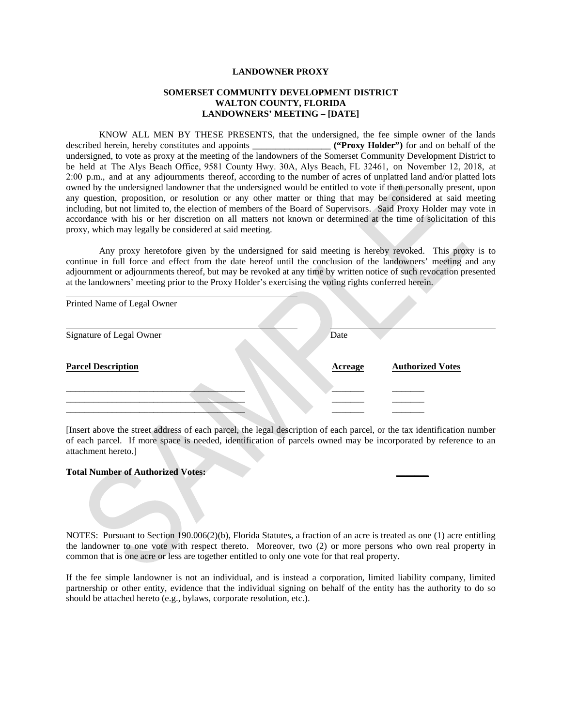#### **LANDOWNER PROXY**

#### **SOMERSET COMMUNITY DEVELOPMENT DISTRICT WALTON COUNTY, FLORIDA LANDOWNERS' MEETING – [DATE]**

 KNOW ALL MEN BY THESE PRESENTS, that the undersigned, the fee simple owner of the lands described herein, hereby constitutes and appoints \_\_\_\_\_\_\_\_\_\_\_\_\_\_\_\_\_ **("Proxy Holder")** for and on behalf of the undersigned, to vote as proxy at the meeting of the landowners of the Somerset Community Development District to be held at The Alys Beach Office, 9581 County Hwy. 30A, Alys Beach, FL 32461, on November 12, 2018, at 2:00 p.m., and at any adjournments thereof, according to the number of acres of unplatted land and/or platted lots owned by the undersigned landowner that the undersigned would be entitled to vote if then personally present, upon any question, proposition, or resolution or any other matter or thing that may be considered at said meeting including, but not limited to, the election of members of the Board of Supervisors. Said Proxy Holder may vote in accordance with his or her discretion on all matters not known or determined at the time of solicitation of this proxy, which may legally be considered at said meeting.

Any proxy heretofore given by the undersigned for said meeting is hereby revoked. This proxy is to continue in full force and effect from the date hereof until the conclusion of the landowners' meeting and any adjournment or adjournments thereof, but may be revoked at any time by written notice of such revocation presented at the landowners' meeting prior to the Proxy Holder's exercising the voting rights conferred herein.

| Printed Name of Legal Owner |                |                         |
|-----------------------------|----------------|-------------------------|
| Signature of Legal Owner    | Date           |                         |
| <b>Parcel Description</b>   | <b>Acreage</b> | <b>Authorized Votes</b> |
|                             |                |                         |
|                             |                |                         |
|                             |                |                         |

 [Insert above the street address of each parcel, the legal description of each parcel, or the tax identification number of each parcel. If more space is needed, identification of parcels owned may be incorporated by reference to an attachment hereto.]

#### **Total Number of Authorized Votes: \_\_\_\_\_\_\_**

 NOTES: Pursuant to Section 190.006(2)(b), Florida Statutes, a fraction of an acre is treated as one (1) acre entitling the landowner to one vote with respect thereto. Moreover, two (2) or more persons who own real property in common that is one acre or less are together entitled to only one vote for that real property.

 If the fee simple landowner is not an individual, and is instead a corporation, limited liability company, limited partnership or other entity, evidence that the individual signing on behalf of the entity has the authority to do so should be attached hereto (e.g., bylaws, corporate resolution, etc.).